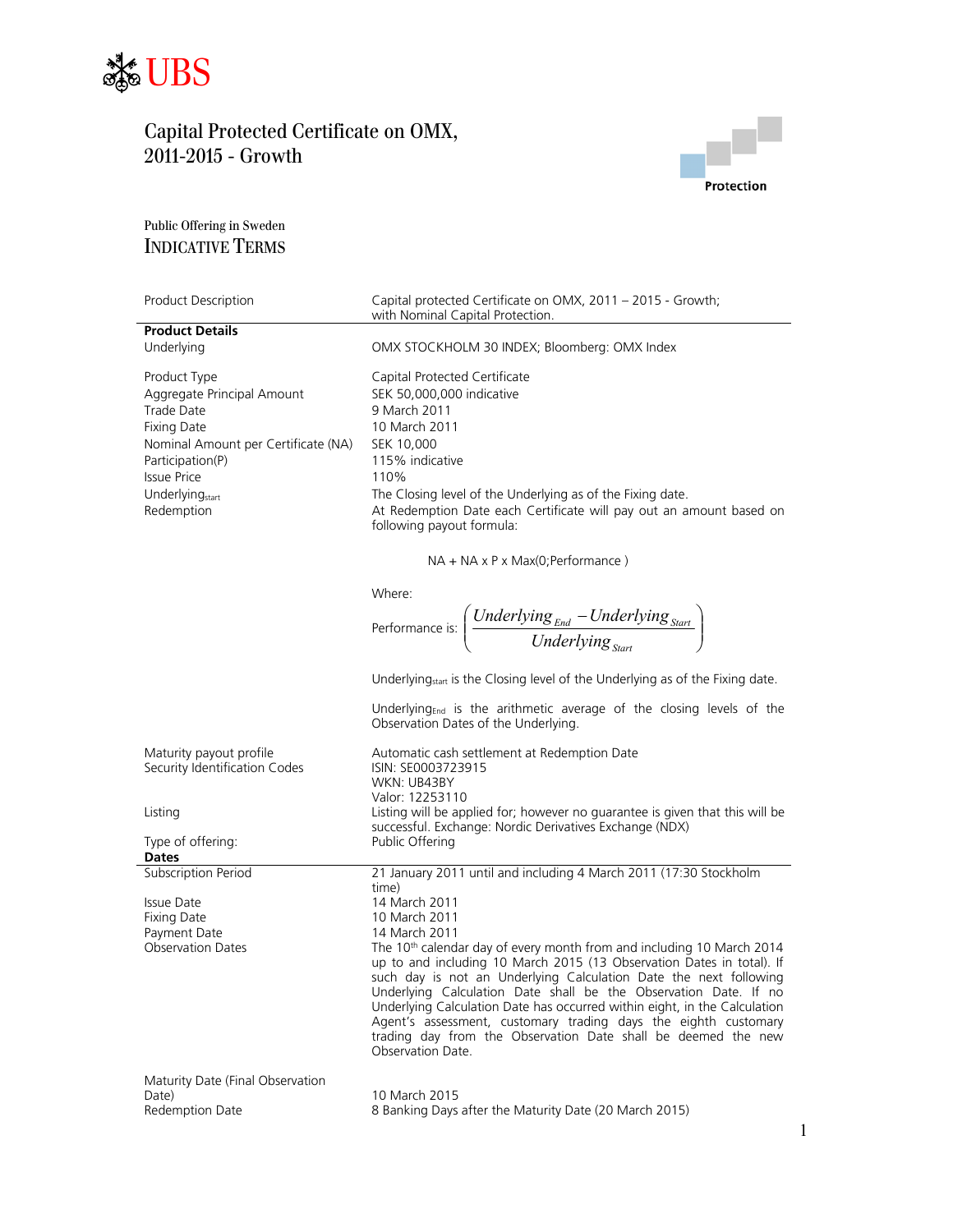



### Public Offering in Sweden INDICATIVE TERMS

| Product Description                                                                                                                       | Capital protected Certificate on OMX, 2011 - 2015 - Growth;<br>with Nominal Capital Protection.                                                                |
|-------------------------------------------------------------------------------------------------------------------------------------------|----------------------------------------------------------------------------------------------------------------------------------------------------------------|
| <b>Product Details</b>                                                                                                                    |                                                                                                                                                                |
| Underlying                                                                                                                                | OMX STOCKHOLM 30 INDEX; Bloomberg: OMX Index                                                                                                                   |
| Product Type<br>Aggregate Principal Amount<br>Trade Date<br><b>Fixing Date</b><br>Nominal Amount per Certificate (NA)<br>Participation(P) | Capital Protected Certificate<br>SEK 50,000,000 indicative<br>9 March 2011<br>10 March 2011<br>SEK 10.000<br>115% indicative                                   |
| <b>Issue Price</b>                                                                                                                        | 110%                                                                                                                                                           |
| Underlying <sub>start</sub><br>Redemption                                                                                                 | The Closing level of the Underlying as of the Fixing date.<br>At Redemption Date each Certificate will pay out an amount based on<br>following payout formula: |
|                                                                                                                                           | $NA + NA \times P \times Max(O; Performance)$                                                                                                                  |
|                                                                                                                                           | Where:<br>Performance is: $\left(\frac{Underlying_{End} - Underlying_{Start}}{Underlying_{start}}\right)$                                                      |
|                                                                                                                                           | Underlying <sub>start</sub> is the Closing level of the Underlying as of the Fixing date.                                                                      |
|                                                                                                                                           | Underlying <sub>End</sub> is the arithmetic average of the closing levels of the<br>Observation Dates of the Underlying.                                       |
| Maturity payout profile<br>Security Identification Codes                                                                                  | Automatic cash settlement at Redemption Date<br>ISIN: SE0003723915<br>WKN: UB43BY<br>Valor: 12253110                                                           |
| Listing                                                                                                                                   | Listing will be applied for; however no guarantee is given that this will be<br>successful. Exchange: Nordic Derivatives Exchange (NDX)                        |

|                                                                                | eeessi aii Exeriariger rioraic Beritaeres Exeriarige (rio <i>ri</i> y                                                                                                                                                                                                                                                                                                                                                                                                                                                                     |  |
|--------------------------------------------------------------------------------|-------------------------------------------------------------------------------------------------------------------------------------------------------------------------------------------------------------------------------------------------------------------------------------------------------------------------------------------------------------------------------------------------------------------------------------------------------------------------------------------------------------------------------------------|--|
| Type of offering:                                                              | Public Offering                                                                                                                                                                                                                                                                                                                                                                                                                                                                                                                           |  |
| <b>Dates</b>                                                                   |                                                                                                                                                                                                                                                                                                                                                                                                                                                                                                                                           |  |
| Subscription Period                                                            | 21 January 2011 until and including 4 March 2011 (17:30 Stockholm<br>time)                                                                                                                                                                                                                                                                                                                                                                                                                                                                |  |
| Issue Date                                                                     | 14 March 2011                                                                                                                                                                                                                                                                                                                                                                                                                                                                                                                             |  |
| Fixing Date                                                                    | 10 March 2011                                                                                                                                                                                                                                                                                                                                                                                                                                                                                                                             |  |
| Payment Date                                                                   | 14 March 2011                                                                                                                                                                                                                                                                                                                                                                                                                                                                                                                             |  |
| <b>Observation Dates</b>                                                       | The 10 <sup>th</sup> calendar day of every month from and including 10 March 2014<br>up to and including 10 March 2015 (13 Observation Dates in total). If<br>such day is not an Underlying Calculation Date the next following<br>Underlying Calculation Date shall be the Observation Date. If no<br>Underlying Calculation Date has occurred within eight, in the Calculation<br>Agent's assessment, customary trading days the eighth customary<br>trading day from the Observation Date shall be deemed the new<br>Observation Date. |  |
| Maturity Date (Final Observation<br>$\mathbb{R}$ . $\mathbb{R}$ . $\mathbb{R}$ | $10 Mz$ $-1$ $-201F$                                                                                                                                                                                                                                                                                                                                                                                                                                                                                                                      |  |

Date) 10 March 2015 8 Banking Days after the Maturity Date (20 March 2015)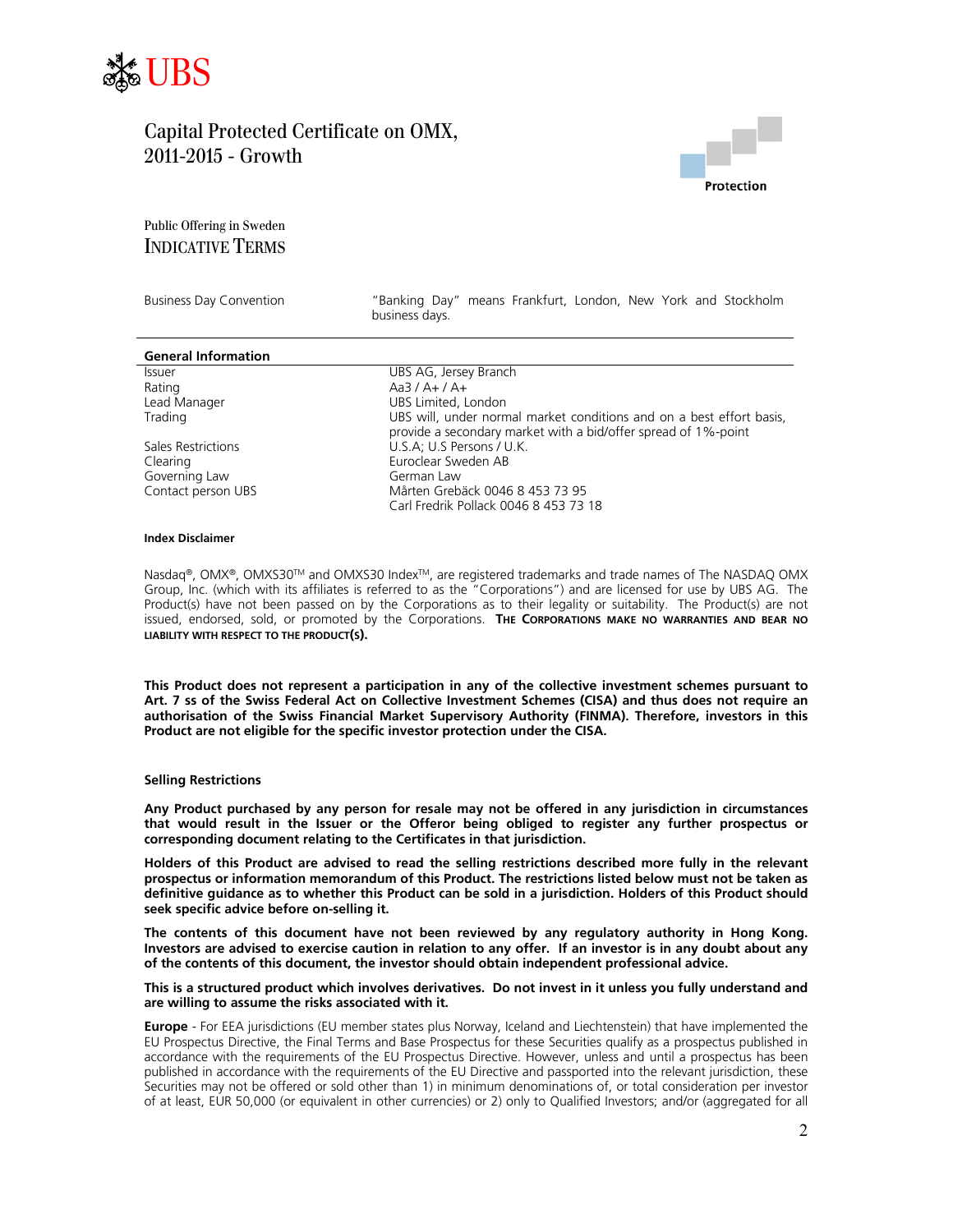



### Public Offering in Sweden INDICATIVE TERMS

Business Day Convention "Banking Day" means Frankfurt, London, New York and Stockholm business days.

| <b>General Information</b> |                                                                                                                                        |
|----------------------------|----------------------------------------------------------------------------------------------------------------------------------------|
| <b>Issuer</b>              | UBS AG, Jersey Branch                                                                                                                  |
| Rating                     | $Aa3/A+/A+$                                                                                                                            |
| Lead Manager               | UBS Limited, London                                                                                                                    |
| Trading                    | UBS will, under normal market conditions and on a best effort basis,<br>provide a secondary market with a bid/offer spread of 1%-point |
| Sales Restrictions         | U.S.A; U.S Persons / U.K.                                                                                                              |
| Clearing                   | Euroclear Sweden AB                                                                                                                    |
| Governing Law              | German Law                                                                                                                             |
| Contact person UBS         | Mårten Grebäck 0046 8 453 73 95                                                                                                        |
|                            | Carl Fredrik Pollack 0046 8 453 73 18                                                                                                  |

#### **Index Disclaimer**

Nasdaq®, OMX®, OMXS30™ and OMXS30 Index™, are registered trademarks and trade names of The NASDAQ OMX Group, Inc. (which with its affiliates is referred to as the "Corporations") and are licensed for use by UBS AG. The Product(s) have not been passed on by the Corporations as to their legality or suitability. The Product(s) are not issued, endorsed, sold, or promoted by the Corporations. **THE CORPORATIONS MAKE NO WARRANTIES AND BEAR NO LIABILITY WITH RESPECT TO THE PRODUCT(S).**

**This Product does not represent a participation in any of the collective investment schemes pursuant to Art. 7 ss of the Swiss Federal Act on Collective Investment Schemes (CISA) and thus does not require an authorisation of the Swiss Financial Market Supervisory Authority (FINMA). Therefore, investors in this Product are not eligible for the specific investor protection under the CISA.** 

#### **Selling Restrictions**

**Any Product purchased by any person for resale may not be offered in any jurisdiction in circumstances that would result in the Issuer or the Offeror being obliged to register any further prospectus or corresponding document relating to the Certificates in that jurisdiction.** 

**Holders of this Product are advised to read the selling restrictions described more fully in the relevant prospectus or information memorandum of this Product. The restrictions listed below must not be taken as definitive guidance as to whether this Product can be sold in a jurisdiction. Holders of this Product should seek specific advice before on-selling it.** 

**The contents of this document have not been reviewed by any regulatory authority in Hong Kong. Investors are advised to exercise caution in relation to any offer. If an investor is in any doubt about any of the contents of this document, the investor should obtain independent professional advice.** 

#### **This is a structured product which involves derivatives. Do not invest in it unless you fully understand and are willing to assume the risks associated with it.**

**Europe** - For EEA jurisdictions (EU member states plus Norway, Iceland and Liechtenstein) that have implemented the EU Prospectus Directive, the Final Terms and Base Prospectus for these Securities qualify as a prospectus published in accordance with the requirements of the EU Prospectus Directive. However, unless and until a prospectus has been published in accordance with the requirements of the EU Directive and passported into the relevant jurisdiction, these Securities may not be offered or sold other than 1) in minimum denominations of, or total consideration per investor of at least, EUR 50,000 (or equivalent in other currencies) or 2) only to Qualified Investors; and/or (aggregated for all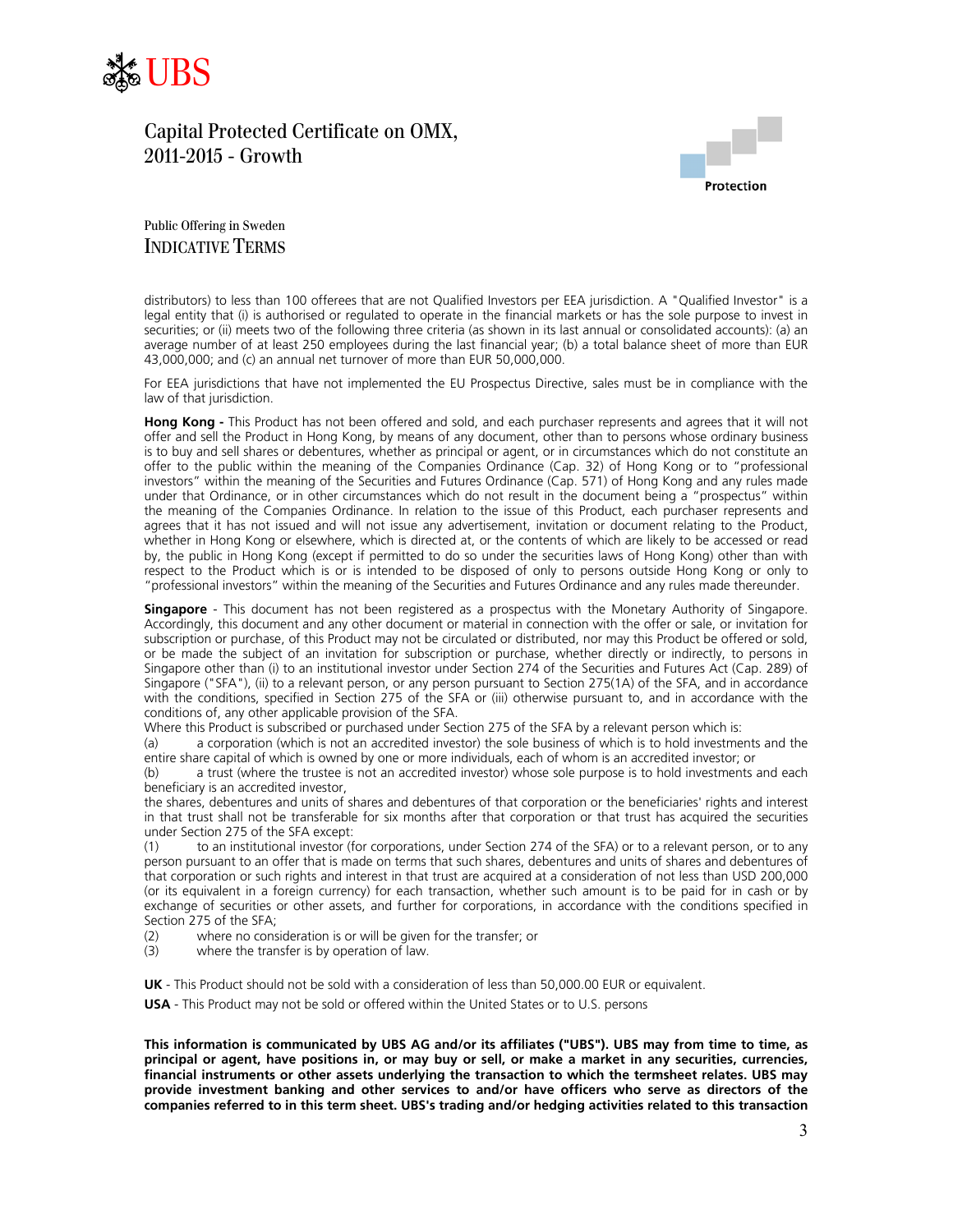



Public Offering in Sweden INDICATIVE TERMS

distributors) to less than 100 offerees that are not Qualified Investors per EEA jurisdiction. A "Qualified Investor" is a legal entity that (i) is authorised or regulated to operate in the financial markets or has the sole purpose to invest in securities; or (ii) meets two of the following three criteria (as shown in its last annual or consolidated accounts): (a) an average number of at least 250 employees during the last financial year; (b) a total balance sheet of more than EUR 43,000,000; and (c) an annual net turnover of more than EUR 50,000,000.

For EEA jurisdictions that have not implemented the EU Prospectus Directive, sales must be in compliance with the law of that jurisdiction.

**Hong Kong -** This Product has not been offered and sold, and each purchaser represents and agrees that it will not offer and sell the Product in Hong Kong, by means of any document, other than to persons whose ordinary business is to buy and sell shares or debentures, whether as principal or agent, or in circumstances which do not constitute an offer to the public within the meaning of the Companies Ordinance (Cap. 32) of Hong Kong or to "professional investors" within the meaning of the Securities and Futures Ordinance (Cap. 571) of Hong Kong and any rules made under that Ordinance, or in other circumstances which do not result in the document being a "prospectus" within the meaning of the Companies Ordinance. In relation to the issue of this Product, each purchaser represents and agrees that it has not issued and will not issue any advertisement, invitation or document relating to the Product, whether in Hong Kong or elsewhere, which is directed at, or the contents of which are likely to be accessed or read by, the public in Hong Kong (except if permitted to do so under the securities laws of Hong Kong) other than with respect to the Product which is or is intended to be disposed of only to persons outside Hong Kong or only to "professional investors" within the meaning of the Securities and Futures Ordinance and any rules made thereunder.

**Singapore** - This document has not been registered as a prospectus with the Monetary Authority of Singapore. Accordingly, this document and any other document or material in connection with the offer or sale, or invitation for subscription or purchase, of this Product may not be circulated or distributed, nor may this Product be offered or sold, or be made the subject of an invitation for subscription or purchase, whether directly or indirectly, to persons in Singapore other than (i) to an institutional investor under Section 274 of the Securities and Futures Act (Cap. 289) of Singapore ("SFA"), (ii) to a relevant person, or any person pursuant to Section 275(1A) of the SFA, and in accordance with the conditions, specified in Section 275 of the SFA or (iii) otherwise pursuant to, and in accordance with the conditions of, any other applicable provision of the SFA.

Where this Product is subscribed or purchased under Section 275 of the SFA by a relevant person which is:

(a) a corporation (which is not an accredited investor) the sole business of which is to hold investments and the entire share capital of which is owned by one or more individuals, each of whom is an accredited investor; or

(b) a trust (where the trustee is not an accredited investor) whose sole purpose is to hold investments and each beneficiary is an accredited investor,

the shares, debentures and units of shares and debentures of that corporation or the beneficiaries' rights and interest in that trust shall not be transferable for six months after that corporation or that trust has acquired the securities under Section 275 of the SFA except:

(1) to an institutional investor (for corporations, under Section 274 of the SFA) or to a relevant person, or to any person pursuant to an offer that is made on terms that such shares, debentures and units of shares and debentures of that corporation or such rights and interest in that trust are acquired at a consideration of not less than USD 200,000 (or its equivalent in a foreign currency) for each transaction, whether such amount is to be paid for in cash or by exchange of securities or other assets, and further for corporations, in accordance with the conditions specified in Section 275 of the SFA;

- (2) where no consideration is or will be given for the transfer; or  $(3)$  where the transfer is by operation of law.
- where the transfer is by operation of law.

**UK** - This Product should not be sold with a consideration of less than 50,000.00 EUR or equivalent.

**USA** - This Product may not be sold or offered within the United States or to U.S. persons

**This information is communicated by UBS AG and/or its affiliates ("UBS"). UBS may from time to time, as principal or agent, have positions in, or may buy or sell, or make a market in any securities, currencies, financial instruments or other assets underlying the transaction to which the termsheet relates. UBS may provide investment banking and other services to and/or have officers who serve as directors of the companies referred to in this term sheet. UBS's trading and/or hedging activities related to this transaction**